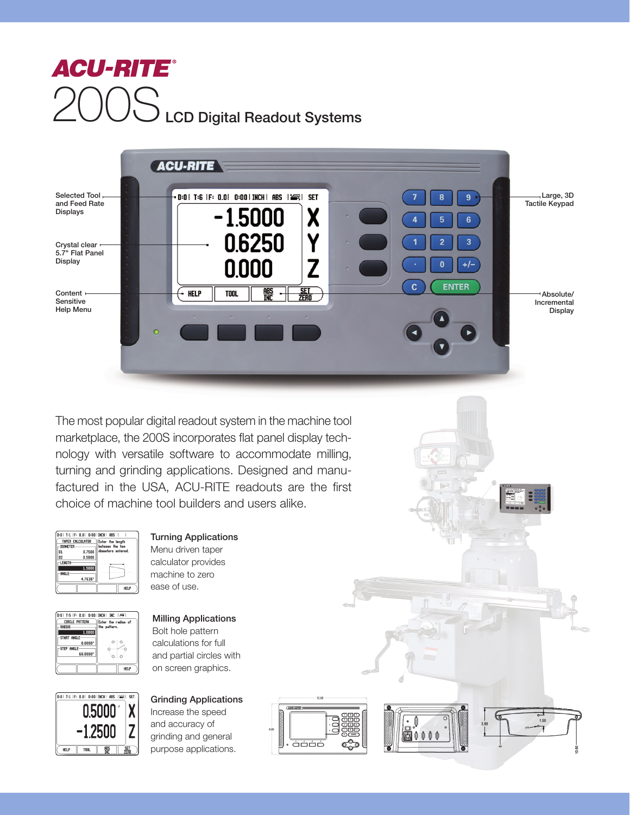



ضضض

The most popular digital readout system in the machine tool marketplace, the 200S incorporates flat panel display technology with versatile software to accommodate milling, turning and grinding applications. Designed and manufactured in the USA, ACU-RITE readouts are the first choice of machine tool builders and users alike.





Menu driven taper calculator provides machine to zero ease of use. Milling Applications

Turning Applications

Bolt hole pattern calculations for full and partial circles with on screen graphics.



Grinding Applications Increase the speed and accuracy of grinding and general purpose applications.